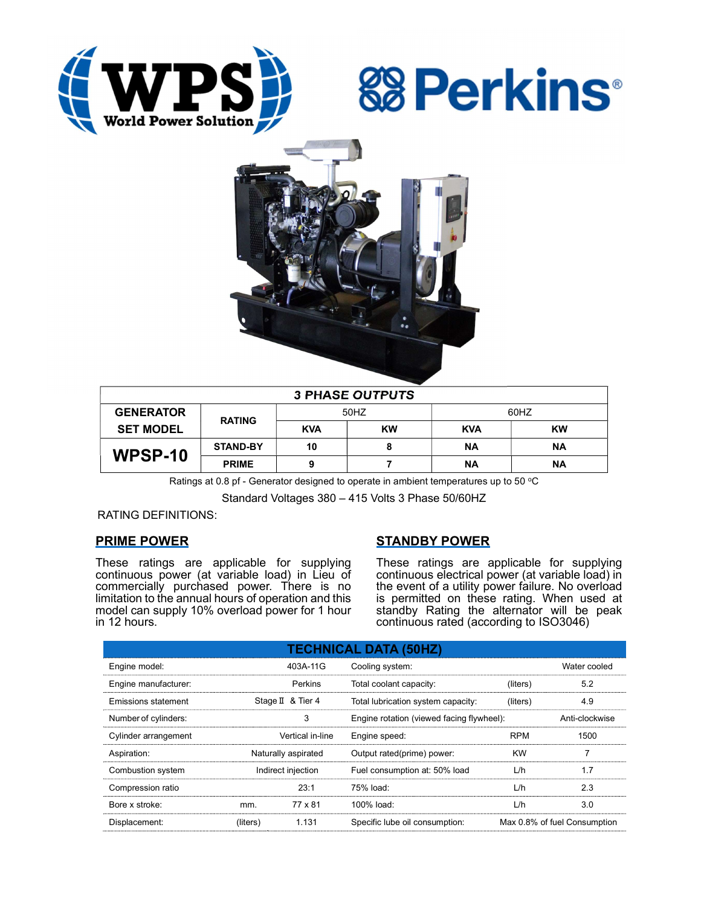





| <b>3 PHASE OUTPUTS</b> |                 |            |           |            |           |  |  |
|------------------------|-----------------|------------|-----------|------------|-----------|--|--|
| <b>GENERATOR</b>       | <b>RATING</b>   | 50HZ       |           | 60HZ       |           |  |  |
| <b>SET MODEL</b>       |                 | <b>KVA</b> | <b>KW</b> | <b>KVA</b> | <b>KW</b> |  |  |
| WPSP-10                | <b>STAND-BY</b> | 10         | 8         | ΝA         | ΝA        |  |  |
|                        | <b>PRIME</b>    |            |           | ΝA         | ΝA        |  |  |

Ratings at 0.8 pf - Generator designed to operate in ambient temperatures up to 50  $^{\circ}$ C

Standard Voltages 380 – 415 Volts 3 Phase 50/60HZ

RATING DEFINITIONS:

## PRIME POWER

These ratings are applicable for supplying continuous power (at variable load) in Lieu of commercially purchased power. There is no limitation to the annual hours of operation and this model can supply 10% overload power for 1 hour in 12 hours.

# STANDBY POWER

These ratings are applicable for supplying continuous electrical power (at variable load) in the event of a utility power failure. No overload is permitted on these rating. When used at standby Rating the alternator will be peak continuous rated (according to ISO3046)

| <b>TECHNICAL DATA (50HZ)</b> |                     |                   |                                           |            |                              |  |  |
|------------------------------|---------------------|-------------------|-------------------------------------------|------------|------------------------------|--|--|
| Engine model:                |                     | 403A-11G          | Cooling system:                           |            | Water cooled                 |  |  |
| Engine manufacturer:         |                     | Perkins           | Total coolant capacity:                   | (liters)   | 5.2                          |  |  |
| Emissions statement          |                     | Stage II & Tier 4 | Total lubrication system capacity:        | (liters)   | 4.9                          |  |  |
| Number of cylinders:         | 3                   |                   | Engine rotation (viewed facing flywheel): |            | Anti-clockwise               |  |  |
| Cylinder arrangement         |                     | Vertical in-line  | Engine speed:                             | <b>RPM</b> | 1500                         |  |  |
| Aspiration:                  | Naturally aspirated |                   | Output rated(prime) power:                | <b>KW</b>  |                              |  |  |
| Combustion system            | Indirect injection  |                   | Fuel consumption at: 50% load             | L/h        | 1.7                          |  |  |
| Compression ratio            |                     | 23:1              | 75% load:                                 | L/h        | 2.3                          |  |  |
| Bore x stroke:               | mm.                 | 77 x 81           | 100% load:                                | L/h        | 3.0                          |  |  |
| Displacement:                | (liters)            | 1.131             | Specific lube oil consumption:            |            | Max 0.8% of fuel Consumption |  |  |